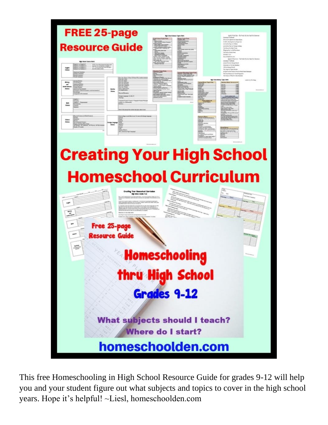

This free Homeschooling in High School Resource Guide for grades 9-12 will help you and your student figure out what subjects and topics to cover in the high school years. Hope it's helpful! ~Liesl, homeschoolden.com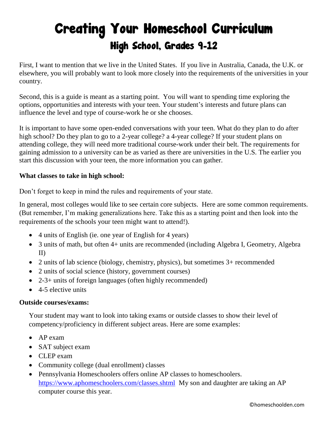## Creating Your Homeschool Curriculum High School, Grades 9-12

First, I want to mention that we live in the United States. If you live in Australia, Canada, the U.K. or elsewhere, you will probably want to look more closely into the requirements of the universities in your country.

Second, this is a guide is meant as a starting point. You will want to spending time exploring the options, opportunities and interests with your teen. Your student's interests and future plans can influence the level and type of course-work he or she chooses.

It is important to have some open-ended conversations with your teen. What do they plan to do after high school? Do they plan to go to a 2-year college? a 4-year college? If your student plans on attending college, they will need more traditional course-work under their belt. The requirements for gaining admission to a university can be as varied as there are universities in the U.S. The earlier you start this discussion with your teen, the more information you can gather.

#### **What classes to take in high school:**

Don't forget to keep in mind the rules and requirements of your state.

In general, most colleges would like to see certain core subjects. Here are some common requirements. (But remember, I'm making generalizations here. Take this as a starting point and then look into the requirements of the schools your teen might want to attend!).

- 4 units of English (ie. one year of English for 4 years)
- 3 units of math, but often 4+ units are recommended (including Algebra I, Geometry, Algebra II)
- 2 units of lab science (biology, chemistry, physics), but sometimes  $3+$  recommended
- 2 units of social science (history, government courses)
- 2-3+ units of foreign languages (often highly recommended)
- 4-5 elective units

#### **Outside courses/exams:**

Your student may want to look into taking exams or outside classes to show their level of competency/proficiency in different subject areas. Here are some examples:

- AP exam
- SAT subject exam
- CLEP exam
- Community college (dual enrollment) classes
- Pennsylvania Homeschoolers offers online AP classes to homeschoolers. <https://www.aphomeschoolers.com/classes.shtml>My son and daughter are taking an AP computer course this year.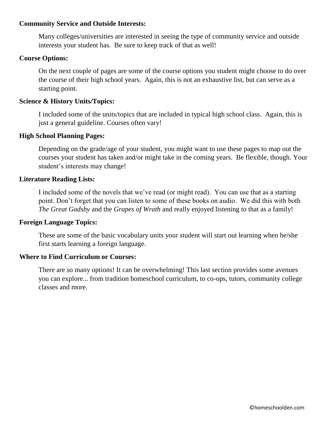#### **Community Service and Outside Interests:**

Many colleges/universities are interested in seeing the type of community service and outside interests your student has. Be sure to keep track of that as well!

#### **Course Options:**

On the next couple of pages are some of the course options you student might choose to do over the course of their high school years. Again, this is not an exhaustive list, but can serve as a starting point.

#### **Science & History Units/Topics:**

I included some of the units/topics that are included in typical high school class. Again, this is just a general guideline. Courses often vary!

#### **High School Planning Pages:**

Depending on the grade/age of your student, you might want to use these pages to map out the courses your student has taken and/or might take in the coming years. Be flexible, though. Your student's interests may change!

#### **Literature Reading Lists:**

I included some of the novels that we've read (or might read). You can use that as a starting point. Don't forget that you can listen to some of these books on audio. We did this with both *The Great Gadsby* and the *Grapes of Wrath* and really enjoyed listening to that as a family!

#### **Foreign Language Topics:**

These are some of the basic vocabulary units your student will start out learning when he/she first starts learning a foreign language.

#### **Where to Find Curriculum or Courses:**

There are so many options! It can be overwhelming! This last section provides some avenues you can explore... from tradition homeschool curriculum, to co-ops, tutors, community college classes and more.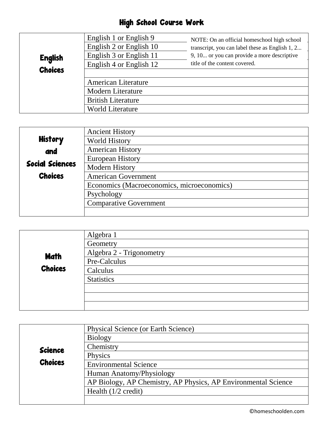### High School Course Work

| <b>English</b> | English 1 or English 9<br>English 2 or English 10<br>English 3 or English 11<br>English 4 or English 12 | NOTE: On an official homeschool high school<br>transcript, you can label these as English 1, 2<br>9, 10 or you can provide a more descriptive<br>title of the content covered. |
|----------------|---------------------------------------------------------------------------------------------------------|--------------------------------------------------------------------------------------------------------------------------------------------------------------------------------|
| <b>Choices</b> | <b>American Literature</b>                                                                              |                                                                                                                                                                                |
|                | <b>Modern Literature</b>                                                                                |                                                                                                                                                                                |
|                | <b>British Literature</b>                                                                               |                                                                                                                                                                                |
|                | <b>World Literature</b>                                                                                 |                                                                                                                                                                                |

|                        | <b>Ancient History</b>                     |
|------------------------|--------------------------------------------|
| <b>History</b>         | <b>World History</b>                       |
| and                    | <b>American History</b>                    |
|                        | <b>European History</b>                    |
| <b>Social Sciences</b> | <b>Modern History</b>                      |
| <b>Choices</b>         | <b>American Government</b>                 |
|                        | Economics (Macroeconomics, microeconomics) |
|                        | Psychology                                 |
|                        | <b>Comparative Government</b>              |
|                        |                                            |

|                | Algebra 1                |
|----------------|--------------------------|
|                | Geometry                 |
| Math           | Algebra 2 - Trigonometry |
|                | Pre-Calculus             |
| <b>Choices</b> | Calculus                 |
|                | <b>Statistics</b>        |
|                |                          |
|                |                          |
|                |                          |

|                | Physical Science (or Earth Science)                            |
|----------------|----------------------------------------------------------------|
|                | <b>Biology</b>                                                 |
| <b>Science</b> | Chemistry                                                      |
|                | Physics                                                        |
| <b>Choices</b> | <b>Environmental Science</b>                                   |
|                | Human Anatomy/Physiology                                       |
|                | AP Biology, AP Chemistry, AP Physics, AP Environmental Science |
|                | Health $(1/2 \text{ credit})$                                  |
|                |                                                                |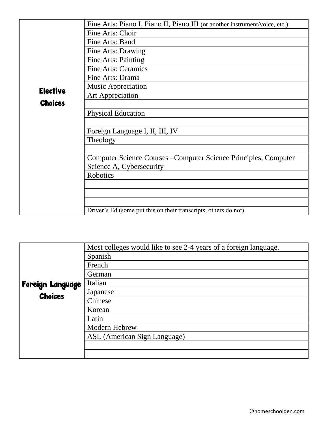|                 | Fine Arts: Piano I, Piano II, Piano III (or another instrument/voice, etc.) |
|-----------------|-----------------------------------------------------------------------------|
|                 | Fine Arts: Choir                                                            |
|                 | Fine Arts: Band                                                             |
|                 | Fine Arts: Drawing                                                          |
|                 | Fine Arts: Painting                                                         |
|                 | <b>Fine Arts: Ceramics</b>                                                  |
|                 | Fine Arts: Drama                                                            |
| <b>Elective</b> | <b>Music Appreciation</b>                                                   |
|                 | <b>Art Appreciation</b>                                                     |
| <b>Choices</b>  |                                                                             |
|                 | <b>Physical Education</b>                                                   |
|                 |                                                                             |
|                 | Foreign Language I, II, III, IV                                             |
|                 | Theology                                                                    |
|                 |                                                                             |
|                 | Computer Science Courses – Computer Science Principles, Computer            |
|                 | Science A, Cybersecurity                                                    |
|                 | <b>Robotics</b>                                                             |
|                 |                                                                             |
|                 |                                                                             |
|                 |                                                                             |
|                 | Driver's Ed (some put this on their transcripts, others do not)             |

|                  | Most colleges would like to see 2-4 years of a foreign language. |
|------------------|------------------------------------------------------------------|
|                  | Spanish                                                          |
|                  | French                                                           |
|                  | German                                                           |
| Foreign Language | Italian                                                          |
| <b>Choices</b>   | Japanese                                                         |
|                  | Chinese                                                          |
|                  | Korean                                                           |
|                  | Latin                                                            |
|                  | Modern Hebrew                                                    |
|                  | ASL (American Sign Language)                                     |
|                  |                                                                  |
|                  |                                                                  |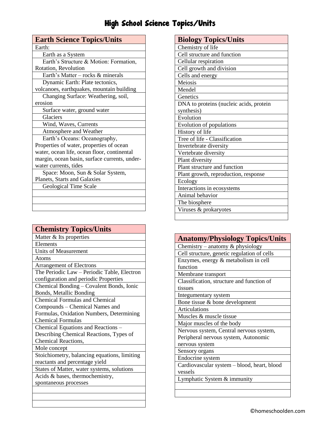## High School Science Topics/Units

| <b>Earth Science Topics/Units</b>             |
|-----------------------------------------------|
| Earth:                                        |
| Earth as a System                             |
| Earth's Structure & Motion: Formation,        |
| Rotation, Revolution                          |
| Earth's Matter - rocks & minerals             |
| Dynamic Earth: Plate tectonics,               |
| volcanoes, earthquakes, mountain building     |
| Changing Surface: Weathering, soil,           |
| erosion                                       |
| Surface water, ground water                   |
| Glaciers                                      |
| Wind, Waves, Currents                         |
| Atmosphere and Weather                        |
| Earth's Oceans: Oceanography,                 |
| Properties of water, properties of ocean      |
| water, ocean life, ocean floor, continental   |
| margin, ocean basin, surface currents, under- |
| water currents, tides                         |
| Space: Moon, Sun & Solar System,              |
| Planets, Starts and Galaxies                  |
| Geological Time Scale                         |
|                                               |
|                                               |
|                                               |

| <b>Chemistry Topics/Units</b>                |
|----------------------------------------------|
| Matter & Its properties                      |
| Elements                                     |
| Units of Measurement                         |
| Atoms                                        |
| <b>Arrangement of Electrons</b>              |
| The Periodic Law - Periodic Table, Electron  |
| configuration and periodic Properties        |
| Chemical Bonding - Covalent Bonds, Ionic     |
| Bonds, Metallic Bonding                      |
| <b>Chemical Formulas and Chemical</b>        |
| Compounds – Chemical Names and               |
| Formulas, Oxidation Numbers, Determining     |
| <b>Chemical Formulas</b>                     |
| Chemical Equations and Reactions -           |
| Describing Chemical Reactions, Types of      |
| Chemical Reactions,                          |
| Mole concept                                 |
| Stoichiometry, balancing equations, limiting |
| reactants and percentage yield               |
| States of Matter, water systems, solutions   |
| Acids & bases, thermochemistry,              |
| spontaneous processes                        |
|                                              |
|                                              |
|                                              |

| <b>Biology Topics/Units</b>             |
|-----------------------------------------|
| Chemistry of life                       |
| Cell structure and function             |
| Cellular respiration                    |
| Cell growth and division                |
| Cells and energy                        |
| Meiosis                                 |
| Mendel                                  |
| Genetics                                |
| DNA to proteins (nucleic acids, protein |
| synthesis)                              |
| Evolution                               |
| Evolution of populations                |
| History of life                         |
| Tree of life - Classification           |
| Invertebrate diversity                  |
| Vertebrate diversity                    |
| Plant diversity                         |
| Plant structure and function            |
| Plant growth, reproduction, response    |
| Ecology                                 |
| Interactions in ecosystems              |
| Animal behavior                         |
| The biosphere                           |
| Viruses & prokaryotes                   |
|                                         |

| <b>Anatomy/Physiology Topics/Units</b>      |
|---------------------------------------------|
| Chemistry – anatomy $\&$ physiology         |
| Cell structure, genetic regulation of cells |
| Enzymes, energy & metabolism in cell        |
| function                                    |
| Membrane transport                          |
| Classification, structure and function of   |
| tissues                                     |
| Integumentary system                        |
| Bone tissue & bone development              |
| <b>Articulations</b>                        |
| Muscles & muscle tissue                     |
| Major muscles of the body                   |
| Nervous system, Central nervous system,     |
| Peripheral nervous system, Autonomic        |
| nervous system                              |
| Sensory organs                              |
| Endocrine system                            |
| Cardiovascular system - blood, heart, blood |
| vessels                                     |
| Lymphatic System & immunity                 |
|                                             |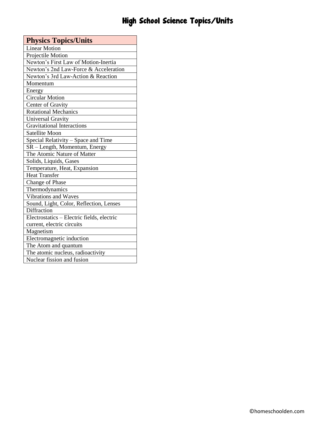## High School Science Topics/Units

| <b>Physics Topics/Units</b>                |
|--------------------------------------------|
| <b>Linear Motion</b>                       |
| Projectile Motion                          |
| Newton's First Law of Motion-Inertia       |
| Newton's 2nd Law-Force & Acceleration      |
| Newton's 3rd Law-Action & Reaction         |
| Momentum                                   |
| Energy                                     |
| <b>Circular Motion</b>                     |
| Center of Gravity                          |
| <b>Rotational Mechanics</b>                |
| Universal Gravity                          |
| <b>Gravitational Interactions</b>          |
| <b>Satellite Moon</b>                      |
| Special Relativity – Space and Time        |
| SR – Length, Momentum, Energy              |
| The Atomic Nature of Matter                |
| Solids, Liquids, Gases                     |
| Temperature, Heat, Expansion               |
| <b>Heat Transfer</b>                       |
| Change of Phase                            |
| Thermodynamics                             |
| Vibrations and Waves                       |
| Sound, Light, Color, Reflection, Lenses    |
| <b>Diffraction</b>                         |
| Electrostatics - Electric fields, electric |
| current, electric circuits                 |
| Magnetism                                  |
| Electromagnetic induction                  |
| The Atom and quantum                       |
| The atomic nucleus, radioactivity          |
| Nuclear fission and fusion                 |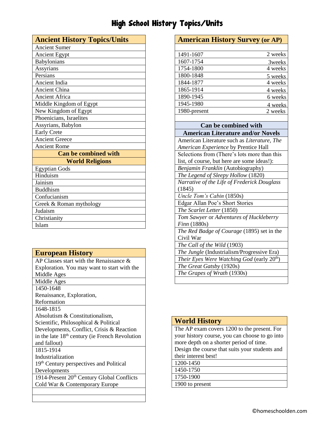## High School History Topics/Units

| <b>Ancient History Topics/Units</b> |
|-------------------------------------|
| <b>Ancient Sumer</b>                |
| Ancient Egypt                       |
| Babylonians                         |
| Assyrians                           |
| Persians                            |
| Ancient India                       |
| <b>Ancient China</b>                |
| <b>Ancient Africa</b>               |
| Middle Kingdom of Egypt             |
| New Kingdom of Egypt                |
| Phoenicians, Israelites             |
| Assyrians, Babylon                  |
| <b>Early Crete</b>                  |
| <b>Ancient Greece</b>               |
| <b>Ancient Rome</b>                 |
| <b>Can be combined with</b>         |
| <b>World Religions</b>              |
| <b>Egyptian Gods</b>                |
| Hinduism                            |
| Jainism                             |
| <b>Buddhism</b>                     |
| Confucianism                        |
| Greek & Roman mythology             |
| Judaism                             |
| Christianity                        |
| Islam                               |

| <b>European History</b>                                    |
|------------------------------------------------------------|
| AP Classes start with the Renaissance $\&$                 |
| Exploration. You may want to start with the                |
| Middle Ages                                                |
| Middle Ages                                                |
| 1450-1648                                                  |
| Renaissance, Exploration,                                  |
| Reformation                                                |
| 1648-1815                                                  |
| Absolutism & Constitutionalism,                            |
| Scientific, Philosophical & Political                      |
| Developments, Conflict, Crisis & Reaction                  |
| in the late 18 <sup>th</sup> century (ie French Revolution |
| and fallout)                                               |
| 1815-1914                                                  |
| Industrialization                                          |
| 19 <sup>th</sup> Century perspectives and Political        |
| Developments                                               |
| 1914-Present 20 <sup>th</sup> Century Global Conflicts     |
| Cold War & Contemporary Europe                             |
|                                                            |
|                                                            |

| <b>American History Survey (or AP)</b>                 |         |
|--------------------------------------------------------|---------|
|                                                        |         |
| 1491-1607                                              | 2 weeks |
| 1607-1754                                              | 3weeks  |
| 1754-1800                                              | 4 weeks |
| 1800-1848                                              | 5 weeks |
| 1844-1877                                              | 4 weeks |
| 1865-1914                                              | 4 weeks |
| 1890-1945                                              | 6 weeks |
| 1945-1980                                              | 4 weeks |
| 1980-present                                           | 2 weeks |
|                                                        |         |
| Can be combined with                                   |         |
| <b>American Literature and/or Novels</b>               |         |
| American Literature such as Literature, The            |         |
| American Experience by Prentice Hall                   |         |
| Selections from (There's lots more than this           |         |
| list, of course, but here are some ideas!):            |         |
| Benjamin Franklin (Autobiography)                      |         |
| The Legend of Sleepy Hollow (1820)                     |         |
| Narrative of the Life of Frederick Douglass            |         |
| (1845)                                                 |         |
| Uncle Tom's Cabin (1850s)                              |         |
| Edgar Allan Poe's Short Stories                        |         |
| The Scarlet Letter (1850)                              |         |
| Tom Sawyer or Adventures of Huckleberry                |         |
| Finn (1880s)                                           |         |
| The Red Badge of Courage (1895) set in the             |         |
| Civil War                                              |         |
| The Call of the Wild (1903)                            |         |
| The Jungle (Industrialism/Progressive Era)             |         |
| Their Eyes Were Watching God (early 20 <sup>th</sup> ) |         |
| The Great Gatsby (1920s)                               |         |
| The Grapes of Wrath (1930s)                            |         |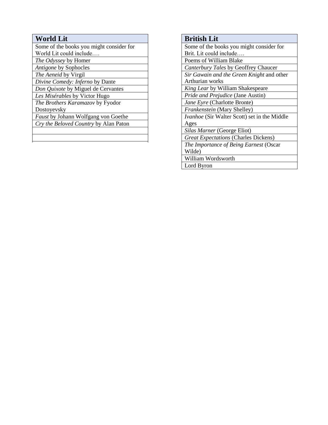#### **World Lit**

Some of the books you might consider for

World Lit could include….

*The Odyssey* by Homer *Antigone* by Sophocles

*The Aeneid* by Virgil

*Divine Comedy: Inferno* by Dante

*Don Quixote* by Miguel de Cervantes

*Les Misérables* by Victor Hugo

*The Brothers Karamazov* by Fyodor Dostoyevsky

*Faust* by Johann Wolfgang von Goethe

*Cry the Beloved Country* by Alan Paton

#### **British Lit** Some of the books you might consider for Brit. Lit could include…. Poems of William Blake *Canterbury Tales* by Geoffrey Chaucer *Sir Gawain and the Green Knight* and other Arthurian works *King Lear* by William Shakespeare *Pride and Prejudice* (Jane Austin) *Jane Eyre* (Charlotte Bronte) *Frankenstein* (Mary Shelley) *Ivanhoe* (Sir Walter Scott) set in the Middle Ages *Silas Marner* (George Eliot) *Great Expectations* (Charles Dickens) *The Importance of Being Earnest* (Oscar Wilde) William Wordsworth

Lord Byron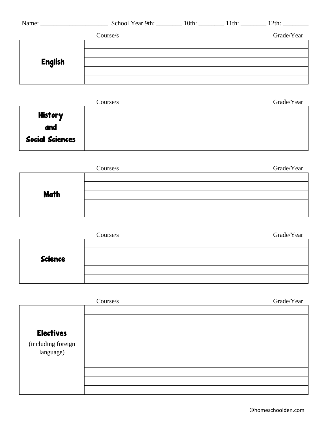| Name: $\_\_$   | School Year 9th: ___________ 10th: __________ 11th: _______ |  | $12th$ :   |
|----------------|-------------------------------------------------------------|--|------------|
|                | Course/s                                                    |  | Grade/Year |
|                |                                                             |  |            |
| <b>English</b> |                                                             |  |            |
|                |                                                             |  |            |
|                |                                                             |  |            |
|                |                                                             |  |            |

| Course/s               |  | Grade/Year |
|------------------------|--|------------|
|                        |  |            |
| <b>History</b>         |  |            |
| and                    |  |            |
| <b>Social Sciences</b> |  |            |
|                        |  |            |

|             | Course/s | Grade/Year |
|-------------|----------|------------|
|             |          |            |
|             |          |            |
| <b>Math</b> |          |            |
|             |          |            |
|             |          |            |

| Course/s       |  | Grade/Year |
|----------------|--|------------|
|                |  |            |
|                |  |            |
| <b>Science</b> |  |            |
|                |  |            |
|                |  |            |

|                                 | Course/s | Grade/Year |  |
|---------------------------------|----------|------------|--|
|                                 |          |            |  |
| <b>Electives</b>                |          |            |  |
| (including foreign<br>language) |          |            |  |
|                                 |          |            |  |
|                                 |          |            |  |
|                                 |          |            |  |
|                                 |          |            |  |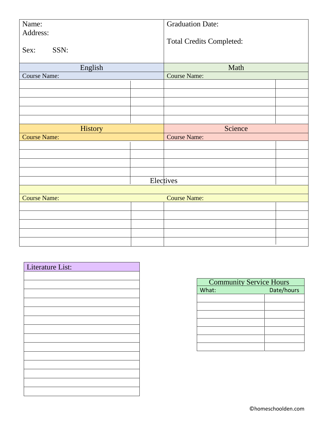| Name:                    | <b>Graduation Date:</b>         |  |
|--------------------------|---------------------------------|--|
| Address:<br>SSN:<br>Sex: | <b>Total Credits Completed:</b> |  |
| English                  | Math                            |  |
| Course Name:             | <b>Course Name:</b>             |  |
|                          |                                 |  |
|                          |                                 |  |
|                          |                                 |  |
|                          |                                 |  |
|                          |                                 |  |
| History                  | Science                         |  |
| <b>Course Name:</b>      | <b>Course Name:</b>             |  |
|                          |                                 |  |
|                          |                                 |  |
|                          |                                 |  |
|                          |                                 |  |
|                          | Electives                       |  |
|                          |                                 |  |
| <b>Course Name:</b>      | <b>Course Name:</b>             |  |
|                          |                                 |  |
|                          |                                 |  |
|                          |                                 |  |
|                          |                                 |  |
|                          |                                 |  |

| Literature List: |
|------------------|
|                  |
|                  |
|                  |
|                  |
|                  |
|                  |
|                  |
|                  |
|                  |
|                  |
|                  |
|                  |
|                  |
|                  |

| <b>Community Service Hours</b> |            |  |  |
|--------------------------------|------------|--|--|
| What:                          | Date/hours |  |  |
|                                |            |  |  |
|                                |            |  |  |
|                                |            |  |  |
|                                |            |  |  |
|                                |            |  |  |
|                                |            |  |  |
|                                |            |  |  |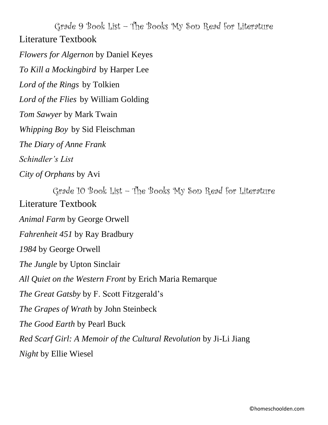Grade 9 Book List – The Books My Son Read for Literature Literature Textbook

*Flowers for Algernon* by Daniel Keyes

*To Kill a Mockingbird* by Harper Lee

*Lord of the Rings* by Tolkien

*Lord of the Flies* by William Golding

*Tom Sawyer* by Mark Twain

*Whipping Boy* by Sid Fleischman

*The Diary of Anne Frank*

*Schindler's List*

*City of Orphans* by Avi

Grade 10 Book List – The Books My Son Read for Literature Literature Textbook

*Animal Farm* by George Orwell

*Fahrenheit 451* by Ray Bradbury

*1984* by George Orwell

*The Jungle* by Upton Sinclair

*All Quiet on the Western Front* by Erich Maria Remarque

*The Great Gatsby* by F. Scott Fitzgerald's

*The Grapes of Wrath* by John Steinbeck

*The Good Earth* by Pearl Buck

*Red Scarf Girl: A Memoir of the Cultural Revolution* by Ji-Li Jiang

*Night* by Ellie Wiesel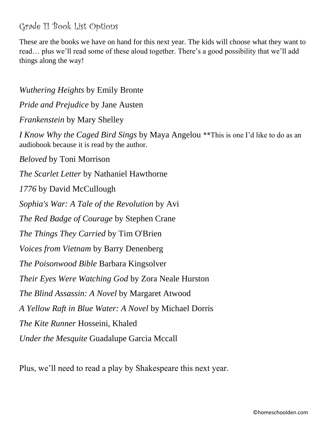### Grade 11 Book List Options

These are the books we have on hand for this next year. The kids will choose what they want to read… plus we'll read some of these aloud together. There's a good possibility that we'll add things along the way!

*Wuthering Heights* by Emily Bronte *Pride and Prejudice* by Jane Austen *Frankenstein* by Mary Shelley *I Know Why the Caged Bird Sings* by Maya Angelou \*\*This is one I'd like to do as an audiobook because it is read by the author. *Beloved* by Toni Morrison *The Scarlet Letter* by Nathaniel Hawthorne *1776* by David McCullough *Sophia's War: A Tale of the Revolution* by Avi *The Red Badge of Courage* by Stephen Crane *The Things They Carried* by Tim O'Brien *Voices from Vietnam* by Barry Denenberg *The Poisonwood Bible* Barbara Kingsolver *Their Eyes Were Watching God* by Zora Neale Hurston *The Blind Assassin: A Novel* by Margaret Atwood *A Yellow Raft in Blue Water: A Novel* by Michael Dorris *The Kite Runner* Hosseini, Khaled *Under the Mesquite* Guadalupe Garcia Mccall

Plus, we'll need to read a play by Shakespeare this next year.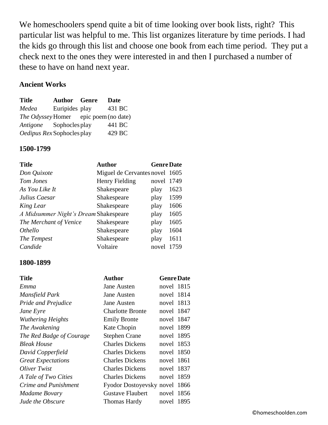We homeschoolers spend quite a bit of time looking over book lists, right? This particular list was helpful to me. This list organizes literature by time periods. I had the kids go through this list and choose one book from each time period. They put a check next to the ones they were interested in and then I purchased a number of these to have on hand next year.

#### **Ancient Works**

| <b>Title</b>                          | <b>Author</b> Genre | Date   |
|---------------------------------------|---------------------|--------|
| Medea                                 | Euripides play      | 431 BC |
| The Odyssey Homer epic poem (no date) |                     |        |
| Antigone                              | Sophocles play      | 441 BC |
| Oedipus Rex Sophocles play            |                     | 429 BC |

#### **1500-1799**

| <b>Title</b>                          | <b>Author</b>                  | <b>Genre Date</b> |      |
|---------------------------------------|--------------------------------|-------------------|------|
| Don Quixote                           | Miguel de Cervantes novel 1605 |                   |      |
| Tom Jones                             | Henry Fielding                 | novel             | 1749 |
| As You Like It                        | Shakespeare                    | play              | 1623 |
| Julius Caesar                         | Shakespeare                    | play              | 1599 |
| King Lear                             | Shakespeare                    | play              | 1606 |
| A Midsummer Night's Dream Shakespeare |                                | play              | 1605 |
| The Merchant of Venice                | Shakespeare                    | play              | 1605 |
| Othello                               | Shakespeare                    | play              | 1604 |
| The Tempest                           | Shakespeare                    | play              | 1611 |
| Candide                               | Voltaire                       | novel             | 1759 |

#### **1800-1899**

| Title                     | Author                        | <b>Genre Date</b> |      |
|---------------------------|-------------------------------|-------------------|------|
| Emma                      | Jane Austen                   | novel 1815        |      |
| Mansfield Park            | Jane Austen                   | novel 1814        |      |
| Pride and Prejudice       | Jane Austen                   | novel 1813        |      |
| Jane Eyre                 | <b>Charlotte Bronte</b>       | novel 1847        |      |
| <b>Wuthering Heights</b>  | <b>Emily Bronte</b>           | novel 1847        |      |
| The Awakening             | Kate Chopin                   | novel 1899        |      |
| The Red Badge of Courage  | <b>Stephen Crane</b>          | novel 1895        |      |
| <b>Bleak House</b>        | <b>Charles Dickens</b>        | novel 1853        |      |
| David Copperfield         | <b>Charles Dickens</b>        | novel 1850        |      |
| <b>Great Expectations</b> | <b>Charles Dickens</b>        | novel 1861        |      |
| Oliver Twist              | <b>Charles Dickens</b>        | novel 1837        |      |
| A Tale of Two Cities      | <b>Charles Dickens</b>        | novel 1859        |      |
| Crime and Punishment      | Fyodor Dostoyevsky novel 1866 |                   |      |
| <b>Madame Bovary</b>      | <b>Gustave Flaubert</b>       | novel 1856        |      |
| Jude the Obscure          | Thomas Hardy                  | novel             | 1895 |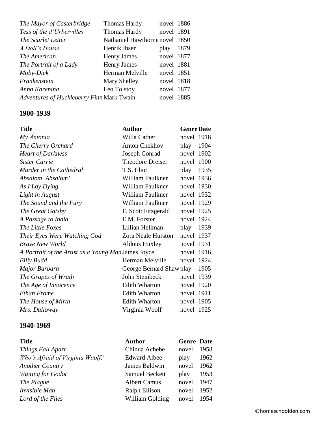| The Mayor of Casterbridge                 | <b>Thomas Hardy</b>            | novel 1886 |      |
|-------------------------------------------|--------------------------------|------------|------|
| Tess of the d'Urbervilles                 | Thomas Hardy                   | novel 1891 |      |
| The Scarlet Letter                        | Nathaniel Hawthorne novel 1850 |            |      |
| A Doll's House                            | Henrik Ibsen                   | play       | 1879 |
| The American                              | <b>Henry James</b>             | novel 1877 |      |
| The Portrait of a Lady                    | <b>Henry James</b>             | novel 1881 |      |
| Moby-Dick                                 | Herman Melville                | novel 1851 |      |
| Frankenstein                              | Mary Shelley                   | novel 1818 |      |
| Anna Karenina                             | Leo Tolstoy                    | novel 1877 |      |
| Adventures of Huckleberry Finn Mark Twain |                                | novel 1885 |      |

#### **1900-1939**

| <b>Title</b>                                        | <b>Author</b>            | <b>Genre Date</b> |      |
|-----------------------------------------------------|--------------------------|-------------------|------|
| My Antonia                                          | Willa Cather             | novel 1918        |      |
| The Cherry Orchard                                  | <b>Anton Chekhov</b>     | play              | 1904 |
| <b>Heart of Darkness</b>                            | <b>Joseph Conrad</b>     | novel 1902        |      |
| Sister Carrie                                       | Theodore Dreiser         | novel 1900        |      |
| Murder in the Cathedral                             | T.S. Eliot               | play              | 1935 |
| Absalom, Absalom!                                   | William Faulkner         | novel 1936        |      |
| As I Lay Dying                                      | William Faulkner         | novel 1930        |      |
| Light in August                                     | William Faulkner         | novel 1932        |      |
| The Sound and the Fury                              | William Faulkner         | novel 1929        |      |
| The Great Gatsby                                    | F. Scott Fitzgerald      | novel 1925        |      |
| A Passage to India                                  | E.M. Forster             | novel 1924        |      |
| The Little Foxes                                    | Lillian Hellman          | play              | 1939 |
| Their Eyes Were Watching God                        | Zora Neale Hurston       | novel 1937        |      |
| <b>Brave New World</b>                              | Aldous Huxley            | novel 1931        |      |
| A Portrait of the Artist as a Young Man James Joyce |                          | novel 1916        |      |
| <b>Billy Budd</b>                                   | Herman Melville          | novel 1924        |      |
| Major Barbara                                       | George Bernard Shaw play |                   | 1905 |
| The Grapes of Wrath                                 | John Steinbeck           | novel 1939        |      |
| The Age of Innocence                                | <b>Edith Wharton</b>     | novel 1920        |      |
| <b>Ethan Frome</b>                                  | <b>Edith Wharton</b>     | novel 1911        |      |
| The House of Mirth                                  | <b>Edith Wharton</b>     | novel 1905        |      |
| Mrs. Dalloway                                       | Virginia Woolf           | novel 1925        |      |

#### **1940-1969**

| <b>Title</b>                    | <b>Author</b>         | <b>Genre</b> Date |      |
|---------------------------------|-----------------------|-------------------|------|
| Things Fall Apart               | Chinua Achebe         | novel             | 1958 |
| Who's Afraid of Virginia Woolf? | <b>Edward Albee</b>   | play              | 1962 |
| <b>Another Country</b>          | James Baldwin         | novel             | 1962 |
| <b>Waiting for Godot</b>        | <b>Samuel Beckett</b> | play              | 1953 |
| The Plague                      | <b>Albert Camus</b>   | novel             | 1947 |
| Invisible Man                   | Ralph Ellison         | novel             | 1952 |
| Lord of the Flies               | William Golding       | novel             | 1954 |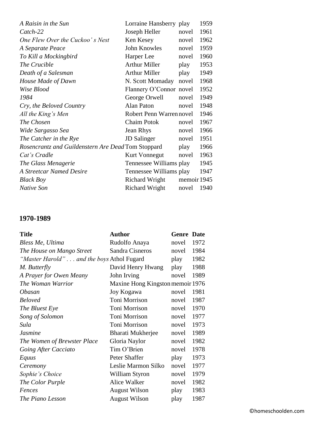| A Raisin in the Sun                                | Lorraine Hansberry play  |             | 1959 |
|----------------------------------------------------|--------------------------|-------------|------|
| Catch-22                                           | Joseph Heller            | novel       | 1961 |
| One Flew Over the Cuckoo's Nest                    | Ken Kesey                | novel       | 1962 |
| A Separate Peace                                   | John Knowles             | novel       | 1959 |
| To Kill a Mockingbird                              | Harper Lee               | novel       | 1960 |
| The Crucible                                       | <b>Arthur Miller</b>     | play        | 1953 |
| Death of a Salesman                                | <b>Arthur Miller</b>     | play        | 1949 |
| House Made of Dawn                                 | N. Scott Momaday         | novel       | 1968 |
| Wise Blood                                         | Flannery O'Connor novel  |             | 1952 |
| 1984                                               | George Orwell            | novel       | 1949 |
| Cry, the Beloved Country                           | Alan Paton               | novel       | 1948 |
| All the King's Men                                 | Robert Penn Warren novel |             | 1946 |
| The Chosen                                         | <b>Chaim Potok</b>       | novel       | 1967 |
| Wide Sargasso Sea                                  | Jean Rhys                | novel       | 1966 |
| The Catcher in the Rye                             | <b>JD</b> Salinger       | novel       | 1951 |
| Rosencrantz and Guildenstern Are Dead Tom Stoppard |                          | play        | 1966 |
| Cat's Cradle                                       | <b>Kurt Vonnegut</b>     | novel       | 1963 |
| The Glass Menagerie                                | Tennessee Williams play  |             | 1945 |
| <b>A Streetcar Named Desire</b>                    | Tennessee Williams play  |             | 1947 |
| <b>Black Boy</b>                                   | <b>Richard Wright</b>    | memoir 1945 |      |
| Native Son                                         | Richard Wright           | novel       | 1940 |

#### **1970-1989**

| <b>Title</b>                              | <b>Author</b>                    | <b>Genre Date</b> |      |
|-------------------------------------------|----------------------------------|-------------------|------|
| Bless Me, Ultima                          | Rudolfo Anaya                    | novel             | 1972 |
| The House on Mango Street                 | Sandra Cisneros                  | novel             | 1984 |
| "Master Harold" and the boys Athol Fugard |                                  | play              | 1982 |
| M. Butterfly                              | David Henry Hwang                | play              | 1988 |
| A Prayer for Owen Meany                   | John Irving                      | novel             | 1989 |
| The Woman Warrior                         | Maxine Hong Kingston memoir 1976 |                   |      |
| Obasan                                    | Joy Kogawa                       | novel             | 1981 |
| <b>Beloved</b>                            | Toni Morrison                    | novel             | 1987 |
| The Bluest Eye                            | Toni Morrison                    | novel             | 1970 |
| Song of Solomon                           | Toni Morrison                    | novel             | 1977 |
| Sula                                      | Toni Morrison                    | novel             | 1973 |
| <b>Jasmine</b>                            | Bharati Mukherjee                | novel             | 1989 |
| The Women of Brewster Place               | Gloria Naylor                    | novel             | 1982 |
| Going After Cacciato                      | Tim O'Brien                      | novel             | 1978 |
| Equus                                     | Peter Shaffer                    | play              | 1973 |
| Ceremony                                  | Leslie Marmon Silko              | novel             | 1977 |
| Sophie's Choice                           | William Styron                   | novel             | 1979 |
| The Color Purple                          | Alice Walker                     | novel             | 1982 |
| Fences                                    | <b>August Wilson</b>             | play              | 1983 |
| The Piano Lesson                          | <b>August Wilson</b>             | play              | 1987 |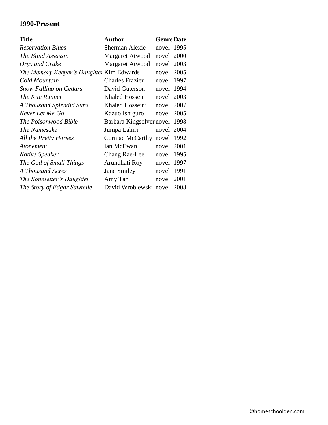#### **1990-Present**

| Title                                    | <b>Author</b>                 | <b>Genre Date</b> |  |
|------------------------------------------|-------------------------------|-------------------|--|
| <b>Reservation Blues</b>                 | Sherman Alexie                | novel 1995        |  |
| The Blind Assassin                       | Margaret Atwood               | novel 2000        |  |
| Oryx and Crake                           | Margaret Atwood               | novel 2003        |  |
| The Memory Keeper's Daughter Kim Edwards |                               | novel 2005        |  |
| Cold Mountain                            | <b>Charles Frazier</b>        | novel 1997        |  |
| <b>Snow Falling on Cedars</b>            | David Guterson                | novel 1994        |  |
| The Kite Runner                          | Khaled Hosseini               | novel 2003        |  |
| A Thousand Splendid Suns                 | Khaled Hosseini               | novel 2007        |  |
| Never Let Me Go                          | Kazuo Ishiguro                | novel 2005        |  |
| The Poisonwood Bible                     | Barbara Kingsolver novel 1998 |                   |  |
| The Namesake                             | Jumpa Lahiri                  | novel 2004        |  |
| All the Pretty Horses                    | Cormac McCarthy               | novel 1992        |  |
| Atonement                                | Ian McEwan                    | novel 2001        |  |
| Native Speaker                           | <b>Chang Rae-Lee</b>          | novel 1995        |  |
| The God of Small Things                  | Arundhati Roy                 | novel 1997        |  |
| A Thousand Acres                         | Jane Smiley                   | novel 1991        |  |
| The Bonesetter's Daughter                | Amy Tan                       | novel 2001        |  |
| The Story of Edgar Sawtelle              | David Wroblewski novel 2008   |                   |  |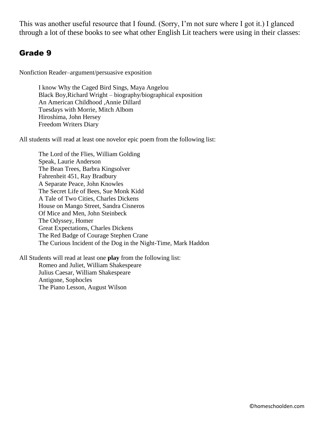This was another useful resource that I found. (Sorry, I'm not sure where I got it.) I glanced through a lot of these books to see what other English Lit teachers were using in their classes:

#### Grade 9

Nonfiction Reader–argument/persuasive exposition

I know Why the Caged Bird Sings, Maya Angelou Black Boy,Richard Wright – biography/biographical exposition An American Childhood ,Annie Dillard Tuesdays with Morrie, Mitch Albom Hiroshima, John Hersey Freedom Writers Diary

All students will read at least one novelor epic poem from the following list:

The Lord of the Flies, William Golding Speak, Laurie Anderson The Bean Trees, Barbra Kingsolver Fahrenheit 451, Ray Bradbury A Separate Peace, John Knowles The Secret Life of Bees, Sue Monk Kidd A Tale of Two Cities, Charles Dickens House on Mango Street, Sandra Cisneros Of Mice and Men, John Steinbeck The Odyssey, Homer Great Expectations, Charles Dickens The Red Badge of Courage Stephen Crane The Curious Incident of the Dog in the Night-Time, Mark Haddon

All Students will read at least one **play** from the following list: Romeo and Juliet, William Shakespeare Julius Caesar, William Shakespeare Antigone, Sophocles The Piano Lesson, August Wilson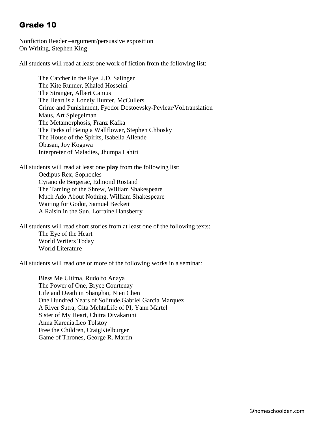#### Grade 10

Nonfiction Reader –argument/persuasive exposition On Writing, Stephen King

All students will read at least one work of fiction from the following list:

The Catcher in the Rye, J.D. Salinger The Kite Runner, Khaled Hosseini The Stranger, Albert Camus The Heart is a Lonely Hunter, McCullers Crime and Punishment, Fyodor Dostoevsky-Pevlear/Vol.translation Maus, Art Spiegelman The Metamorphosis, Franz Kafka The Perks of Being a Wallflower, Stephen Chbosky The House of the Spirits, Isabella Allende Obasan, Joy Kogawa Interpreter of Maladies, Jhumpa Lahiri

All students will read at least one **play** from the following list: Oedipus Rex, Sophocles Cyrano de Bergerac, Edmond Rostand The Taming of the Shrew, William Shakespeare Much Ado About Nothing, William Shakespeare Waiting for Godot, Samuel Beckett A Raisin in the Sun, Lorraine Hansberry

All students will read short stories from at least one of the following texts: The Eye of the Heart World Writers Today World Literature

All students will read one or more of the following works in a seminar:

Bless Me Ultima, Rudolfo Anaya The Power of One, Bryce Courtenay Life and Death in Shanghai, Nien Chen One Hundred Years of Solitude,Gabriel Garcia Marquez A River Sutra, Gita MehtaLife of PI, Yann Martel Sister of My Heart, Chitra Divakaruni Anna Karenia,Leo Tolstoy Free the Children, CraigKielburger Game of Thrones, George R. Martin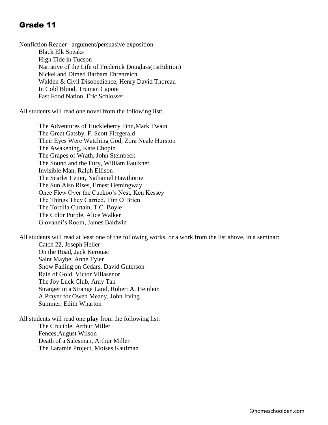#### Grade 11

Nonfiction Reader –argument/persuasive exposition Black Elk Speaks High Tide in Tucson Narrative of the Life of Frederick Douglass(1stEdition) Nickel and Dimed Barbara Ehrenreich Walden & Civil Disobedience, Henry David Thoreau In Cold Blood, Truman Capote Fast Food Nation, Eric Schlosser

All students will read one novel from the following list:

The Adventures of Huckleberry Finn,Mark Twain The Great Gatsby, F. Scott Fitzgerald Their Eyes Were Watching God, Zora Neale Hurston The Awakening, Kate Chopin The Grapes of Wrath, John Steinbeck The Sound and the Fury, William Faulkner Invisible Man, Ralph Ellison The Scarlet Letter, Nathaniel Hawthorne The Sun Also Rises, Ernest Hemingway Once Flew Over the Cuckoo's Nest, Ken Kessey The Things They Carried, Tim O'Brien The Tortilla Curtain, T.C. Boyle The Color Purple, Alice Walker Giovanni's Room, James Baldwin

All students will read at least one of the following works, or a work from the list above, in a seminar: Catch 22, Joseph Heller On the Road, Jack Kerouac Saint Maybe, Anne Tyler Snow Falling on Cedars, David Guterson Rain of Gold, Victor Villasenor The Joy Luck Club, Amy Tan Stranger in a Strange Land, Robert A. Heinlein A Prayer for Owen Meany, John Irving Summer, Edith Wharton

All students will read one **play** from the following list: The Crucible, Arthur Miller Fences,August Wilson Death of a Salesman, Arthur Miller The Laramie Project, Moises Kaufman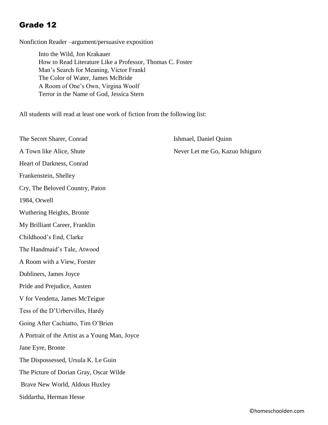#### Grade 12

Nonfiction Reader –argument/persuasive exposition

Into the Wild, Jon Krakauer How to Read Literature Like a Professor, Thomas C. Foster Man's Search for Meaning, Victor Frankl The Color of Water, James McBride A Room of One's Own, Virgina Woolf Terror in the Name of God, Jessica Stern

All students will read at least one work of fiction from the following list:

| The Secret Sharer, Conrad                      | Ishmael, Daniel Quinn           |
|------------------------------------------------|---------------------------------|
| A Town like Alice, Shute                       | Never Let me Go, Kazuo Ishiguro |
| Heart of Darkness, Conrad                      |                                 |
| Frankenstein, Shelley                          |                                 |
| Cry, The Beloved Country, Paton                |                                 |
| 1984, Orwell                                   |                                 |
| Wuthering Heights, Bronte                      |                                 |
| My Brilliant Career, Franklin                  |                                 |
| Childhood's End, Clarke                        |                                 |
| The Handmaid's Tale, Atwood                    |                                 |
| A Room with a View, Forster                    |                                 |
| Dubliners, James Joyce                         |                                 |
| Pride and Prejudice, Austen                    |                                 |
| V for Vendetta, James McTeigue                 |                                 |
| Tess of the D'Urbervilles, Hardy               |                                 |
| Going After Cachiatto, Tim O'Brien             |                                 |
| A Portrait of the Artist as a Young Man, Joyce |                                 |
| Jane Eyre, Bronte                              |                                 |
| The Dispossessed, Ursula K. Le Guin            |                                 |
| The Picture of Dorian Gray, Oscar Wilde        |                                 |
| Brave New World, Aldous Huxley                 |                                 |
| Siddartha, Herman Hesse                        |                                 |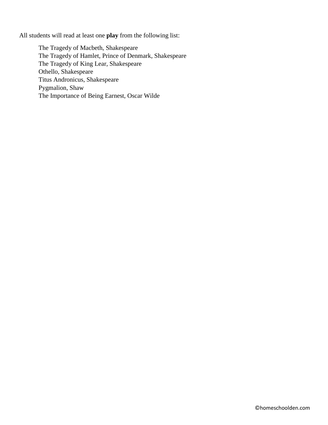All students will read at least one **play** from the following list:

The Tragedy of Macbeth, Shakespeare The Tragedy of Hamlet, Prince of Denmark, Shakespeare The Tragedy of King Lear, Shakespeare Othello, Shakespeare Titus Andronicus, Shakespeare Pygmalion, Shaw The Importance of Being Earnest, Oscar Wilde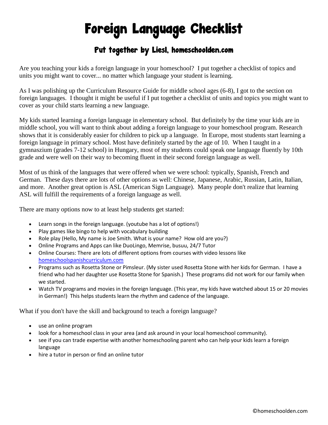# Foreign Language Checklist

#### Put together by Liesl, homeschoolden.com

Are you teaching your kids a foreign language in your homeschool? I put together a checklist of topics and units you might want to cover... no matter which language your student is learning.

As I was polishing up the Curriculum Resource Guide for middle school ages (6-8), I got to the section on foreign languages. I thought it might be useful if I put together a checklist of units and topics you might want to cover as your child starts learning a new language.

My kids started learning a foreign language in elementary school. But definitely by the time your kids are in middle school, you will want to think about adding a foreign language to your homeschool program. Research shows that it is considerably easier for children to pick up a language. In Europe, most students start learning a foreign language in primary school. Most have definitely started by the age of 10. When I taught in a gymnaszium (grades 7-12 school) in Hungary, most of my students could speak one language fluently by 10th grade and were well on their way to becoming fluent in their second foreign language as well.

Most of us think of the languages that were offered when we were school: typically, Spanish, French and German. These days there are lots of other options as well: Chinese, Japanese, Arabic, Russian, Latin, Italian, and more. Another great option is ASL (American Sign Language). Many people don't realize that learning ASL will fulfill the requirements of a foreign language as well.

There are many options now to at least help students get started:

- Learn songs in the foreign language. (youtube has a lot of options!)
- Play games like bingo to help with vocabulary building
- Role play (Hello, My name is Joe Smith. What is your name? How old are you?)
- Online Programs and Apps can like DuoLingo, Memrise, busuu, 24/7 Tutor
- Online Courses: There are lots of different options from courses with video lessons like [homeschoolspanishcurriculum.com](https://www.homeschoolspanishcurriculum.com/)
- Programs such as Rosetta Stone or Pimsleur. (My sister used Rosetta Stone with her kids for German. I have a friend who had her daughter use Rosetta Stone for Spanish.) These programs did not work for our family when we started.
- Watch TV programs and movies in the foreign language. (This year, my kids have watched about 15 or 20 movies in German!) This helps students learn the rhythm and cadence of the language.

What if you don't have the skill and background to teach a foreign language?

- use an online program
- look for a homeschool class in your area (and ask around in your local homeschool community).
- see if you can trade expertise with another homeschooling parent who can help your kids learn a foreign language
- hire a tutor in person or find an online tutor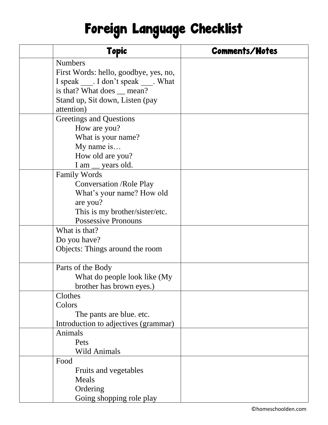# Foreign Language Checklist

| <b>Topic</b>                           | <b>Comments/Notes</b> |
|----------------------------------------|-----------------------|
| <b>Numbers</b>                         |                       |
| First Words: hello, goodbye, yes, no,  |                       |
| I speak ____. I don't speak ____. What |                       |
| is that? What does _ mean?             |                       |
| Stand up, Sit down, Listen (pay        |                       |
| attention)                             |                       |
| Greetings and Questions                |                       |
| How are you?                           |                       |
| What is your name?                     |                       |
| My name is                             |                       |
| How old are you?                       |                       |
| I am _ years old.                      |                       |
| <b>Family Words</b>                    |                       |
| <b>Conversation /Role Play</b>         |                       |
| What's your name? How old              |                       |
| are you?                               |                       |
| This is my brother/sister/etc.         |                       |
| <b>Possessive Pronouns</b>             |                       |
| What is that?                          |                       |
| Do you have?                           |                       |
| Objects: Things around the room        |                       |
| Parts of the Body                      |                       |
| What do people look like (My           |                       |
| brother has brown eyes.)               |                       |
| Clothes                                |                       |
| Colors                                 |                       |
| The pants are blue. etc.               |                       |
| Introduction to adjectives (grammar)   |                       |
| Animals                                |                       |
| Pets                                   |                       |
| <b>Wild Animals</b>                    |                       |
| Food                                   |                       |
| Fruits and vegetables                  |                       |
| Meals                                  |                       |
| Ordering                               |                       |
| Going shopping role play               |                       |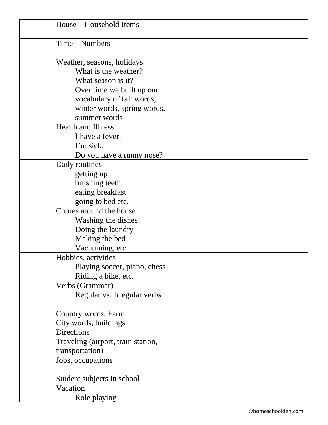| House – Household Items            |  |
|------------------------------------|--|
| $Time - Numbers$                   |  |
| Weather, seasons, holidays         |  |
| What is the weather?               |  |
| What season is it?                 |  |
| Over time we built up our          |  |
| vocabulary of fall words,          |  |
| winter words, spring words,        |  |
| summer words                       |  |
| <b>Health and Illness</b>          |  |
| I have a fever.                    |  |
| I'm sick.                          |  |
| Do you have a runny nose?          |  |
| Daily routines                     |  |
| getting up                         |  |
| brushing teeth,                    |  |
| eating breakfast                   |  |
| going to bed etc.                  |  |
| Chores around the house            |  |
| Washing the dishes                 |  |
| Doing the laundry                  |  |
| Making the bed                     |  |
| Vacuuming, etc.                    |  |
| Hobbies, activities                |  |
| Playing soccer, piano, chess       |  |
| Riding a bike, etc.                |  |
| Verbs (Grammar)                    |  |
| Regular vs. Irregular verbs        |  |
| Country words, Farm                |  |
| City words, buildings              |  |
| <b>Directions</b>                  |  |
| Traveling (airport, train station, |  |
| transportation)                    |  |
| Jobs, occupations                  |  |
| Student subjects in school         |  |
| Vacation                           |  |
| Role playing                       |  |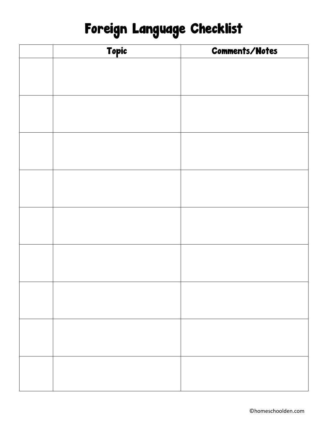# Foreign Language Checklist

| Topic | <b>Comments/Notes</b> |
|-------|-----------------------|
|       |                       |
|       |                       |
|       |                       |
|       |                       |
|       |                       |
|       |                       |
|       |                       |
|       |                       |
|       |                       |
|       |                       |
|       |                       |
|       |                       |
|       |                       |
|       |                       |
|       |                       |
|       |                       |
|       |                       |
|       |                       |
|       |                       |
|       |                       |
|       |                       |
|       |                       |
|       |                       |
|       |                       |
|       |                       |
|       |                       |